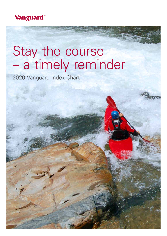

# Stay the course – a timely reminder

2020 Vanguard Index Chart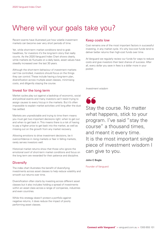## Where will your goals take you?

Recent events have illustrated just how volatile investment markets can become over very short periods of time.

Yet, while short-term market conditions tend to grab headlines, for investors it's the long-term story that really counts. As the 2020 Vanguard Index Chart shows clearly, while markets do fluctuate on a daily basis, asset values have steadily increased over the last 30 years.

Although the short-term behaviour of investment markets can't be controlled, investors should focus on the things they can control. These include having a long-term plan, diversification across multiple asset classes, minimising costs, and diligently staying the course.

### Invest for the long term

Market cycles play out against a backdrop of economic, social and political events and many investors can't resist trying to assign causes to every hiccup in the markets. But it's often impossible to explain market activities until long after the dust has settled.

Markets are unpredictable and trying to time them means you must get two important decisions right: when to get out and when to get back in. This means there is a risk of having to pay a higher price to get back into the market, as well as missing out on the growth from any market recovery.

Allowing emotions to drive investment decisions, be it overconfidence in rising markets or fear in falling markets, rarely serves investors well.

Historical market returns show that those who ignore the emotional swirl of short-term market conditions and focus on the long term are rewarded for their patience and discipline.

### **Diversify**

The index chart illustrates the benefit of diversifying investments across asset classes to help reduce volatility and smooth out returns over time.

Diversification often starts by investing across different asset classes but it also includes holding a spread of investments within an asset class across a range of companies, industries and even countries.

While this strategy doesn't protect a portfolio against negative returns, it does reduce the impact of poorly performing asset classes.

### Keep costs low

Cost remains one of the most important factors in successful investing, in any market cycle. It's why low-cost funds tend to deliver better returns than high-cost funds over time.

At Vanguard we regularly review our funds for ways to reduce costs and give investors their best chance of success. After all, every dollar you save in fees is a dollar more in your pocket.

*Investment wisdom*

66 Stay the course. No matter what happens, stick to your program. I've said "stay the course" a thousand times, and meant it every time. It is the most important single piece of investment wisdom I can give to you.

### **John C Bogle**

#### Founder of Vanguard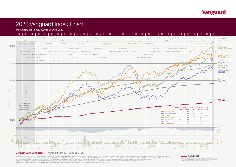© Copyright 2020 Andex Charts Pty Ltd. Reproduction either in whole or in © Copyright 2020 Andex Charts Pty Ltd. Reproduction either in whole or in part is expressly prohibited without the written permission of Andex<br>Charts Pty Ltd. (www.andex.com.au or call 1800 242 787)

# 2020 Vanguard Index Chart 2020 Vanguard Index Chart

### **Connect with Vanguard™** > vanguard.com.au > 1300 655 101 **Connect with Vanguard™** > vanguard.com.au > 1300 655 101

Sources: Australian Bureau of Statistics, Bloomberg Finance L.P., Melbourne Institute of Applied Economic & Social Research, MSCI Inc., Standard & Poor's, VMM Reuters. Notes: 1. Per annum total returns to 30 June 2020 exce Disclaimer: The information contained herein is intended for informational purposes only. It is not intended as investment advice, and must not be relied upon as such. No responsibility is accepted for inaccuracies. Past p Sources: Australian Bureau of Statistics, Bloomberg Finance L.P., Melbourne Institute of Applied Economic & Social Research, MSCI Inc., Standard & Poor's, WM Reuters. Notes: 1. Per annum total returns to 30 June 2020 excep



**Andex** Charts Pty Ltd.

### Market returns - 1 July 1990 to 30 June 2020 Market returns - 1 July 1990 to 30 June 2020

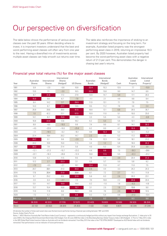### Our perspective on diversification

The table below shows the performance of various asset classes over the past 30 years. When deciding where to invest, it is important investors understand that the best and worst performing asset classes will often vary from one year to the next. Having a diversified mix of investments across multiple asset classes can help smooth out returns over time. The table also reinforces the importance of sticking to an investment strategy and focusing on the long term. For example, Australian listed property was the strongestperforming asset class in 2019, returning an impressive 19.3 per cent. By 2020 however, Australian listed property had become the worst-performing asset class with a negative return of 21.3 per cent. This demonstrates the danger in chasing last year's returns.

### Financial year total returns (%) for the major asset classes

| Year        | Australian<br><b>Shares</b> | International<br>Shares | International<br><b>Shares</b><br>$(Hedged)^1$ | <b>US Shares</b> | Australian<br><b>Bonds</b> | International<br><b>Bonds</b><br>(Hedged) <sup>2</sup> | Cash    | Australian<br>Listed<br>Property | International<br>Listed<br>Property <sup>3</sup> |
|-------------|-----------------------------|-------------------------|------------------------------------------------|------------------|----------------------------|--------------------------------------------------------|---------|----------------------------------|--------------------------------------------------|
| 1991        | 5.9                         | $-2.0$                  | $-5.8$                                         | 10.8             | 22.4                       | 15.3                                                   | 13.5    | 7.7                              | $-15.9$                                          |
| 1992        | 13.0                        | 7.1                     | $-3.0$                                         | 16.5             | 22.0                       | 15.8                                                   | 9.0     | 14.7                             | 6.9                                              |
| 1993        | 8.7                         | 31.8                    | 17.3                                           | 27.9             | 13.9                       | 14.7                                                   | 5.9     | 17.1                             | 28.3                                             |
| 1994        | 15.5                        | $0.0\,$                 | 6.7                                            | $-7.8$           | $-1.1$                     | 2.1                                                    | 4.9     | 9.8                              | 8.4                                              |
| 1995        | 6.4                         | 14.2                    | 3.7                                            | 29.9             | 11.9                       | 13.1                                                   | 7.1     | 7.9                              | 7.5                                              |
| 1996        | 14.3                        | 6.7                     | 27.7                                           | 13.5             | 9.5                        | 11.2                                                   | 7.8     | 3.6                              | 2.4                                              |
| 1997        | 26.8                        | 28.6                    | 26.0                                           | 41.5             | 16.8                       | 12.1                                                   | 6.8     | 28.5                             | 35.7                                             |
| 1998        | 1.0                         | 42.2                    | 22.1                                           | 57.5             | 10.9                       | 11.0                                                   | 5.1     | 10.0                             | 25.0                                             |
| 1999        | 14.1                        | 8.2                     | 15.9                                           | 14.9             | 3.3                        | 5.5                                                    | 5.0     | 4.3                              | $-6.8$                                           |
| 2000        | 16.8                        | 23.8                    | 12.6                                           | 18.2             | 6.2                        | 5.0                                                    | 5.6     | 12.1                             | 14.1                                             |
| 2001        | 8.8                         | $-6.0$                  | $-16.0$                                        | 0.6              | 7.4                        | 9.0                                                    | 6.1     | 14.1                             | 38.2                                             |
| 2002        | $-4.5$                      | $-23.5$                 | $-19.3$                                        | $-25.8$          | 6.2                        | 8.0                                                    | 4.7     | 15.5                             | 7.5                                              |
| 2003        | $-1.1$                      | $-18.5$                 | $-6.2$                                         | $-16.1$          | 9.8                        | 12.2                                                   | 5.0     | 12.1                             | $-5.2$                                           |
| 2004        | 22.4                        | 19.4                    | 20.2                                           | 14.7             | 2.3                        | 3.5                                                    | 5.3     | 17.2                             | 28.7                                             |
| 2005        | 24.7                        | 0.1                     | 9.8                                            | $-2.8$           | 7.8                        | 12.3                                                   | 5.6     | 18.1                             | 21.2                                             |
| 2006        | 24.2                        | 19.9                    | 15.0                                           | 11.5             | 3.4                        | 1.2                                                    | 5.8     | 18.0                             | 24.2                                             |
| 2007        | 30.3                        | 7.8                     | 21.4                                           | 5.6              | 4.0                        | 5.2                                                    | 6.4     | 25.9                             | 3.0                                              |
| 2008        | $-12.1$                     | $-21.3$                 | $-15.7$                                        | $-23.2$          | 4.4                        | 8.6                                                    | 7.3     | $-36.3$                          | $-28.6$                                          |
| 2009        | $-22.1$                     | $-16.3$                 | $-26.6$                                        | $-12.4$          | 10.8                       | 11.5                                                   | 5.5     | $-42.3$                          | $-31.2$                                          |
| 2010        | 13.8                        | 5.2                     | 11.5                                           | 9.5              | 7.9                        | 9.3                                                    | 3.9     | 20.4                             | 31.3                                             |
| 2011        | 12.2                        | 2.7                     | 22.3                                           | 3.1              | 5.5                        | 5.7                                                    | 5.0     | 5.8                              | 9.2                                              |
| 2012        | $-7.0$                      | $-0.5$                  | $-2.1$                                         | 10.1             | 12.4                       | 11.9                                                   | 4.7     | 11.0                             | 7.5                                              |
| 2013        | 20.7                        | 33.1                    | 21.3                                           | 35.0             | 2.8                        | 4.4                                                    | 3.3     | 24.2                             | 24.3                                             |
| 2014        | 17.6                        | 20.4                    | 21.9                                           | 20.8             | 6.1                        | 7.2                                                    | 2.7     | 11.1                             | 11.8                                             |
| 2015        | 5.7                         | 25.2                    | 8.5                                            | 31.9             | 5.6                        | 6.3                                                    | 2.6     | 20.3                             | 23.1                                             |
| 2016        | 2.0                         | 0.4                     | $-2.7$                                         | 7.3              | 7.0                        | 10.8                                                   | 2.2     | 24.6                             | 20.4                                             |
| 2017        | 13.1                        | 14.7                    | 18.9                                           | 14.4             | 0.2                        | $-1.0$                                                 | 1.8     | $-6.3$                           | $-4.8$                                           |
| 2018        | 13.7                        | 15.4                    | 10.8                                           | 18.7             | 3.1                        | 2.5                                                    | 1.8     | 13.0                             | 9.0                                              |
| 2019        | 11.0                        | 11.9                    | $6.6\,$                                        | 16.3             | 9.6                        | 7.0                                                    | 2.0     | 19.3                             | 13.5                                             |
| 2020        | $-7.2$                      | 5.2                     | 3.6                                            | 9.6              | 4.2                        | 5.4                                                    | 0.8     | $-21.3$                          | $-13.4$                                          |
| Average     | 9.6                         | 8.5                     | 7.5                                            | 11.7             | 7.9                        | 8.2                                                    | 5.1     | 9.3                              | 9.8                                              |
| <b>Best</b> | 30.3(3)                     | 42.2(2)                 | 27.7(5)                                        | 57.5(7)          | 22.4(3)                    | 15.8(3)                                                | 13.5(0) | 28.5(3)                          | 38.2(4)                                          |
| Worst       | $-22.1(2)$                  | $-23.5(2)$              | $-26.6(4)$                                     | $-25.8(3)$       | $-1.1(2)$                  | $-1.0(2)$                                              | 0.8(7)  | $-42.3(4)$                       | $-31.2(4)$                                       |

(X) denotes the number of times each asset class was the best/worst performer during a financial year ending between 1991 and 2020.

Source: Andex Charts Pty Ltd.

Notes: 1. MSCI World ex-Australia Net Total Return Index (Local Currency) – represents a continuously hedged portfolio without any impact from foreign exchange fluctuations. 2. Index prior to 30 June 2008 is the Citigroup World Government Bond Index AUD hedged, from 30 June 2008 the index is the Bloomberg Barclays Global Treasury Index in \$A (Hedged). 3. Prior to 1 May 2013, index is the UBS Global Real Estate Investors Index ex-Australia with net dividends reinvested. From May 2013 the index is the FTSE EPRA/NAREIT Developed ex AUS Rental Index with net dividends reinvested. Past performance is not an indicator of future performance.